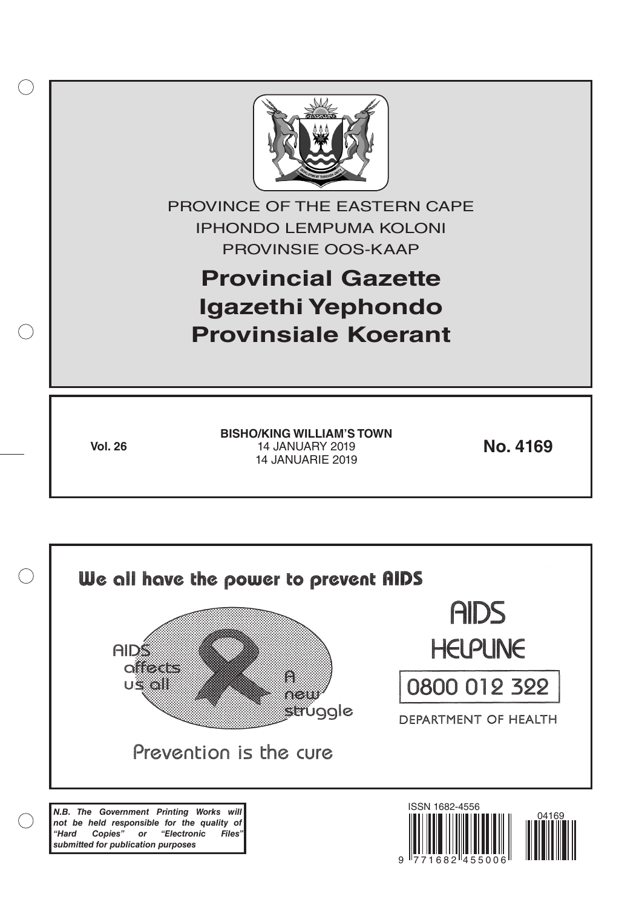

*N.B. The Government Printing Works will not be held responsible for the quality of "Hard Copies" or "Electronic Files" submitted for publication purposes*

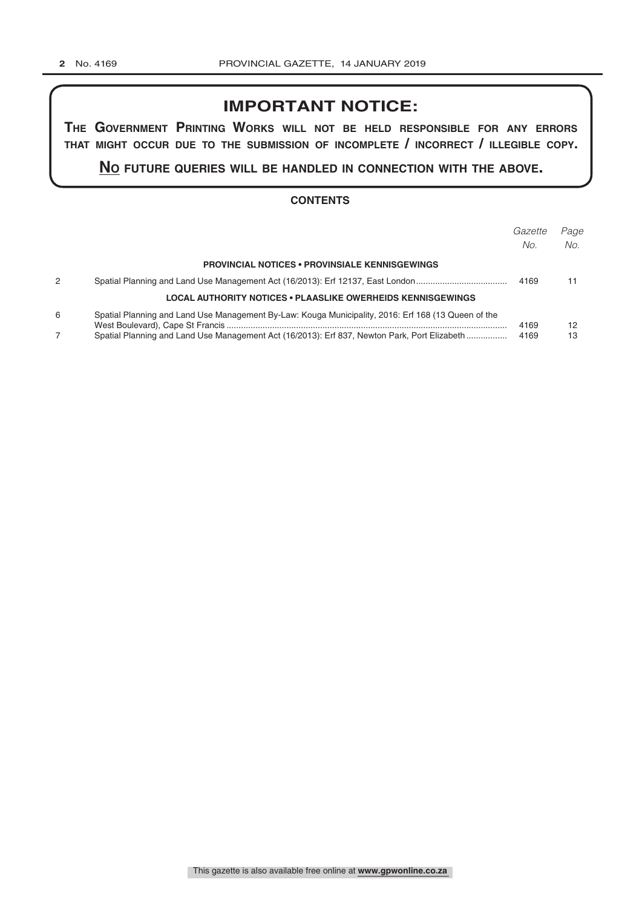# **IMPORTANT NOTICE:**

**The GovernmenT PrinTinG Works Will noT be held resPonsible for any errors ThaT miGhT occur due To The submission of incomPleTe / incorrecT / illeGible coPy.**

**no fuTure queries Will be handled in connecTion WiTh The above.**

#### **CONTENTS**

|   |                                                                                                     | Gazette | Page |
|---|-----------------------------------------------------------------------------------------------------|---------|------|
|   |                                                                                                     | No.     | No.  |
|   | <b>PROVINCIAL NOTICES • PROVINSIALE KENNISGEWINGS</b>                                               |         |      |
| 2 |                                                                                                     | 4169    |      |
|   | LOCAL AUTHORITY NOTICES • PLAASLIKE OWERHEIDS KENNISGEWINGS                                         |         |      |
| 6 | Spatial Planning and Land Use Management By-Law: Kouga Municipality, 2016: Erf 168 (13 Queen of the | 4169    | 12   |
|   | Spatial Planning and Land Use Management Act (16/2013): Erf 837, Newton Park, Port Elizabeth        | 4169    | 13   |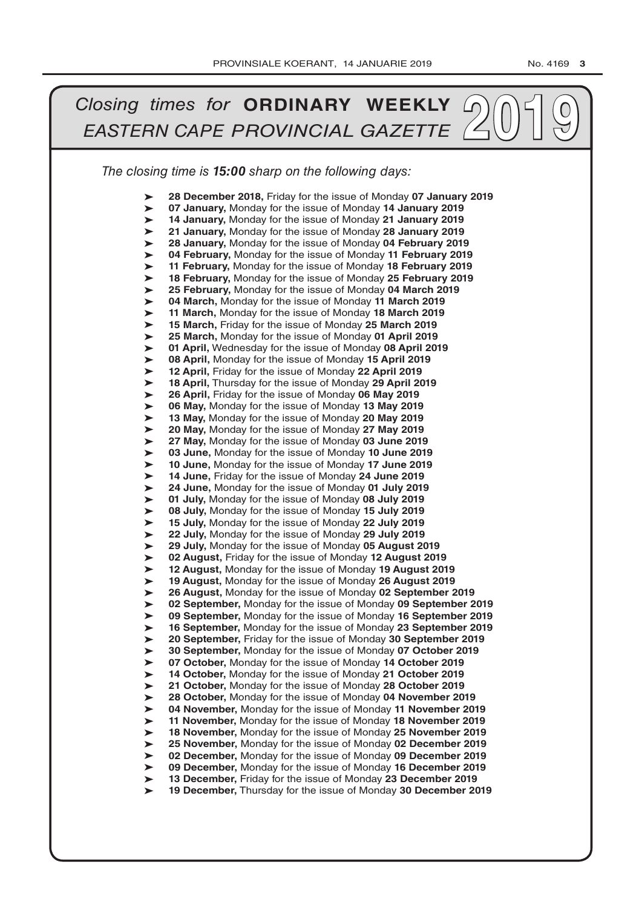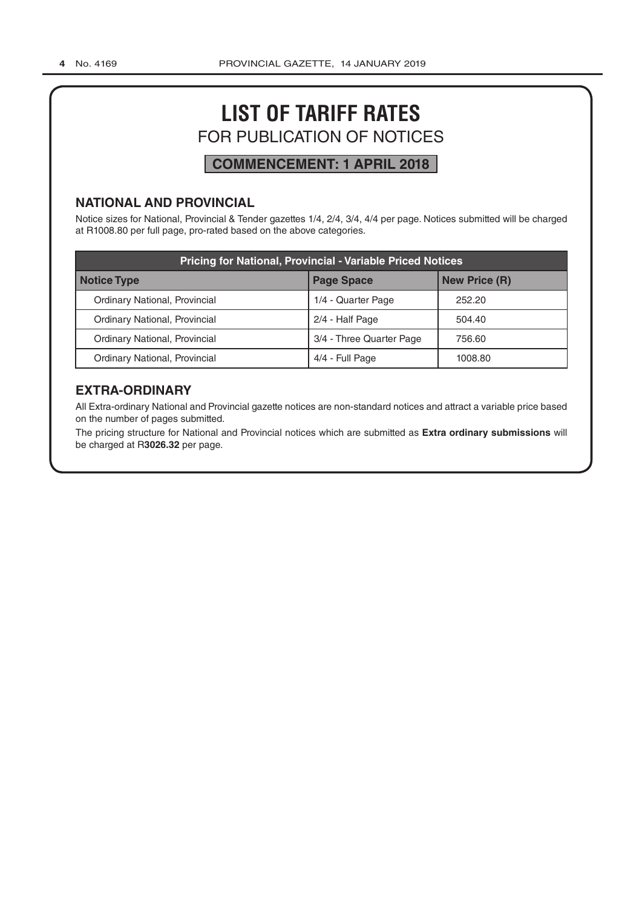# **LIST OF TARIFF RATES** FOR PUBLICATION OF NOTICES

# **COMMENCEMENT: 1 APRIL 2018**

# **NATIONAL AND PROVINCIAL**

Notice sizes for National, Provincial & Tender gazettes 1/4, 2/4, 3/4, 4/4 per page. Notices submitted will be charged at R1008.80 per full page, pro-rated based on the above categories.

| <b>Pricing for National, Provincial - Variable Priced Notices</b> |                          |                      |  |
|-------------------------------------------------------------------|--------------------------|----------------------|--|
| <b>Notice Type</b>                                                | <b>Page Space</b>        | <b>New Price (R)</b> |  |
| Ordinary National, Provincial                                     | 1/4 - Quarter Page       | 252.20               |  |
| Ordinary National, Provincial                                     | 2/4 - Half Page          | 504.40               |  |
| Ordinary National, Provincial                                     | 3/4 - Three Quarter Page | 756.60               |  |
| Ordinary National, Provincial                                     | 4/4 - Full Page          | 1008.80              |  |

# **EXTRA-ORDINARY**

All Extra-ordinary National and Provincial gazette notices are non-standard notices and attract a variable price based on the number of pages submitted.

The pricing structure for National and Provincial notices which are submitted as **Extra ordinary submissions** will be charged at R**3026.32** per page.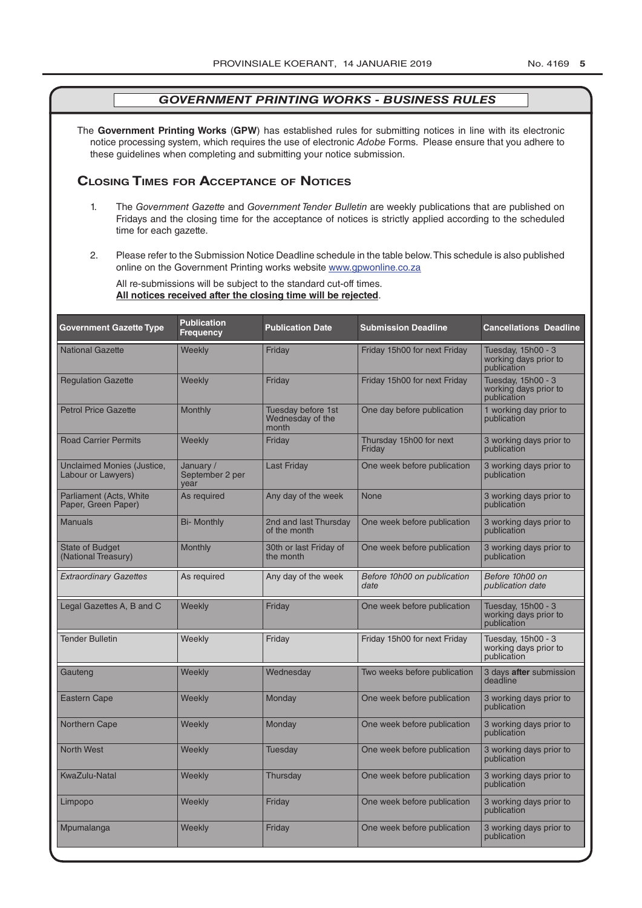The **Government Printing Works** (**GPW**) has established rules for submitting notices in line with its electronic notice processing system, which requires the use of electronic *Adobe* Forms. Please ensure that you adhere to these guidelines when completing and submitting your notice submission.

# **Closing Times for ACCepTAnCe of noTiCes**

- 1. The *Government Gazette* and *Government Tender Bulletin* are weekly publications that are published on Fridays and the closing time for the acceptance of notices is strictly applied according to the scheduled time for each gazette.
- 2. Please refer to the Submission Notice Deadline schedule in the table below. This schedule is also published online on the Government Printing works website www.gpwonline.co.za

All re-submissions will be subject to the standard cut-off times. **All notices received after the closing time will be rejected**.

| <b>Government Gazette Type</b>                   | <b>Publication</b><br><b>Frequency</b> | <b>Publication Date</b>                         | <b>Submission Deadline</b>          | <b>Cancellations Deadline</b>                              |
|--------------------------------------------------|----------------------------------------|-------------------------------------------------|-------------------------------------|------------------------------------------------------------|
| <b>National Gazette</b>                          | Weekly                                 | Friday                                          | Friday 15h00 for next Friday        | Tuesday, 15h00 - 3<br>working days prior to<br>publication |
| <b>Regulation Gazette</b>                        | Weekly                                 | Friday                                          | Friday 15h00 for next Friday        | Tuesday, 15h00 - 3<br>working days prior to<br>publication |
| <b>Petrol Price Gazette</b>                      | Monthly                                | Tuesday before 1st<br>Wednesday of the<br>month | One day before publication          | 1 working day prior to<br>publication                      |
| <b>Road Carrier Permits</b>                      | Weekly                                 | Friday                                          | Thursday 15h00 for next<br>Friday   | 3 working days prior to<br>publication                     |
| Unclaimed Monies (Justice,<br>Labour or Lawyers) | January /<br>September 2 per<br>vear   | <b>Last Friday</b>                              | One week before publication         | 3 working days prior to<br>publication                     |
| Parliament (Acts, White<br>Paper, Green Paper)   | As required                            | Any day of the week                             | None                                | 3 working days prior to<br>publication                     |
| <b>Manuals</b>                                   | <b>Bi- Monthly</b>                     | 2nd and last Thursday<br>of the month           | One week before publication         | 3 working days prior to<br>publication                     |
| <b>State of Budget</b><br>(National Treasury)    | Monthly                                | 30th or last Friday of<br>the month             | One week before publication         | 3 working days prior to<br>publication                     |
| <b>Extraordinary Gazettes</b>                    | As required                            | Any day of the week                             | Before 10h00 on publication<br>date | Before 10h00 on<br>publication date                        |
| Legal Gazettes A, B and C                        | Weekly                                 | Friday                                          | One week before publication         | Tuesday, 15h00 - 3<br>working days prior to<br>publication |
| <b>Tender Bulletin</b>                           | Weekly                                 | Friday                                          | Friday 15h00 for next Friday        | Tuesday, 15h00 - 3<br>working days prior to<br>publication |
| Gauteng                                          | Weekly                                 | Wednesday                                       | Two weeks before publication        | 3 days after submission<br>deadline                        |
| Eastern Cape                                     | Weekly                                 | <b>Monday</b>                                   | One week before publication         | 3 working days prior to<br>publication                     |
| Northern Cape                                    | Weekly                                 | Monday                                          | One week before publication         | 3 working days prior to<br>publication                     |
| <b>North West</b>                                | Weekly                                 | Tuesdav                                         | One week before publication         | 3 working days prior to<br>publication                     |
| KwaZulu-Natal                                    | Weekly                                 | Thursday                                        | One week before publication         | 3 working days prior to<br>publication                     |
| Limpopo                                          | Weekly                                 | Friday                                          | One week before publication         | 3 working days prior to<br>publication                     |
| Mpumalanga                                       | Weekly                                 | Friday                                          | One week before publication         | 3 working days prior to<br>publication                     |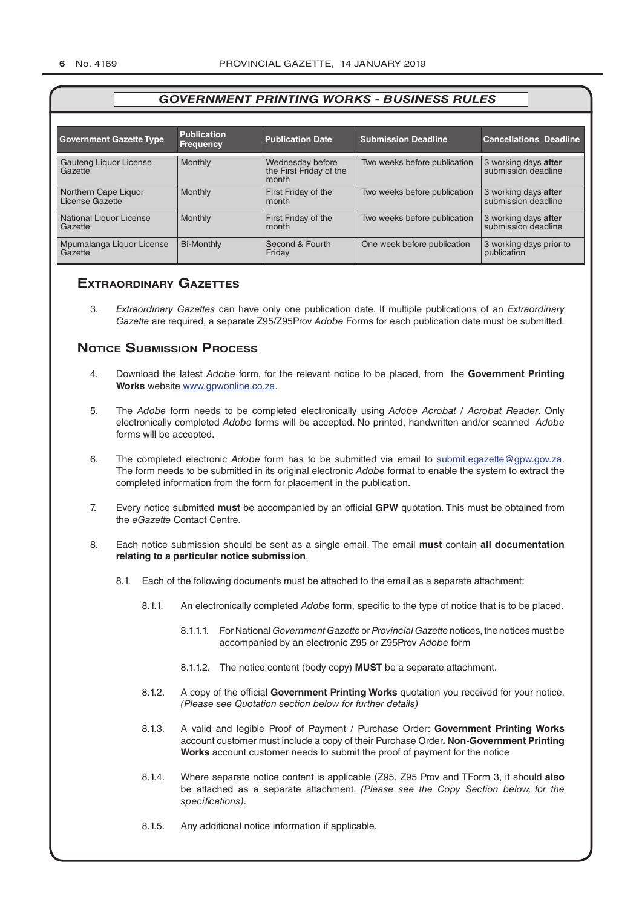| <b>Government Gazette Type</b>          | <b>Publication</b><br><b>Frequency</b> | <b>Publication Date</b>                              | <b>Submission Deadline</b>   | <b>Cancellations Deadline</b>               |
|-----------------------------------------|----------------------------------------|------------------------------------------------------|------------------------------|---------------------------------------------|
| Gauteng Liquor License<br>Gazette       | Monthly                                | Wednesday before<br>the First Friday of the<br>month | Two weeks before publication | 3 working days after<br>submission deadline |
| Northern Cape Liquor<br>License Gazette | Monthly                                | First Friday of the<br>month                         | Two weeks before publication | 3 working days after<br>submission deadline |
| National Liquor License<br>Gazette      | Monthly                                | First Friday of the<br>month                         | Two weeks before publication | 3 working days after<br>submission deadline |
| Mpumalanga Liguor License<br>Gazette    | <b>Bi-Monthly</b>                      | Second & Fourth<br>Friday                            | One week before publication  | 3 working days prior to<br>publication      |

### **exTrAordinAry gAzeTTes**

3. *Extraordinary Gazettes* can have only one publication date. If multiple publications of an *Extraordinary Gazette* are required, a separate Z95/Z95Prov *Adobe* Forms for each publication date must be submitted.

### **NOTICE SUBMISSION PROCESS**

- 4. Download the latest *Adobe* form, for the relevant notice to be placed, from the **Government Printing Works** website www.gpwonline.co.za.
- 5. The *Adobe* form needs to be completed electronically using *Adobe Acrobat* / *Acrobat Reader*. Only electronically completed *Adobe* forms will be accepted. No printed, handwritten and/or scanned *Adobe* forms will be accepted.
- 6. The completed electronic *Adobe* form has to be submitted via email to submit.egazette@gpw.gov.za. The form needs to be submitted in its original electronic *Adobe* format to enable the system to extract the completed information from the form for placement in the publication.
- 7. Every notice submitted **must** be accompanied by an official **GPW** quotation. This must be obtained from the *eGazette* Contact Centre.
- 8. Each notice submission should be sent as a single email. The email **must** contain **all documentation relating to a particular notice submission**.
	- 8.1. Each of the following documents must be attached to the email as a separate attachment:
		- 8.1.1. An electronically completed *Adobe* form, specific to the type of notice that is to be placed.
			- 8.1.1.1. For National *Government Gazette* or *Provincial Gazette* notices, the notices must be accompanied by an electronic Z95 or Z95Prov *Adobe* form
			- 8.1.1.2. The notice content (body copy) **MUST** be a separate attachment.
		- 8.1.2. A copy of the official **Government Printing Works** quotation you received for your notice. *(Please see Quotation section below for further details)*
		- 8.1.3. A valid and legible Proof of Payment / Purchase Order: **Government Printing Works** account customer must include a copy of their Purchase Order*.* **Non**-**Government Printing Works** account customer needs to submit the proof of payment for the notice
		- 8.1.4. Where separate notice content is applicable (Z95, Z95 Prov and TForm 3, it should **also** be attached as a separate attachment. *(Please see the Copy Section below, for the specifications)*.
		- 8.1.5. Any additional notice information if applicable.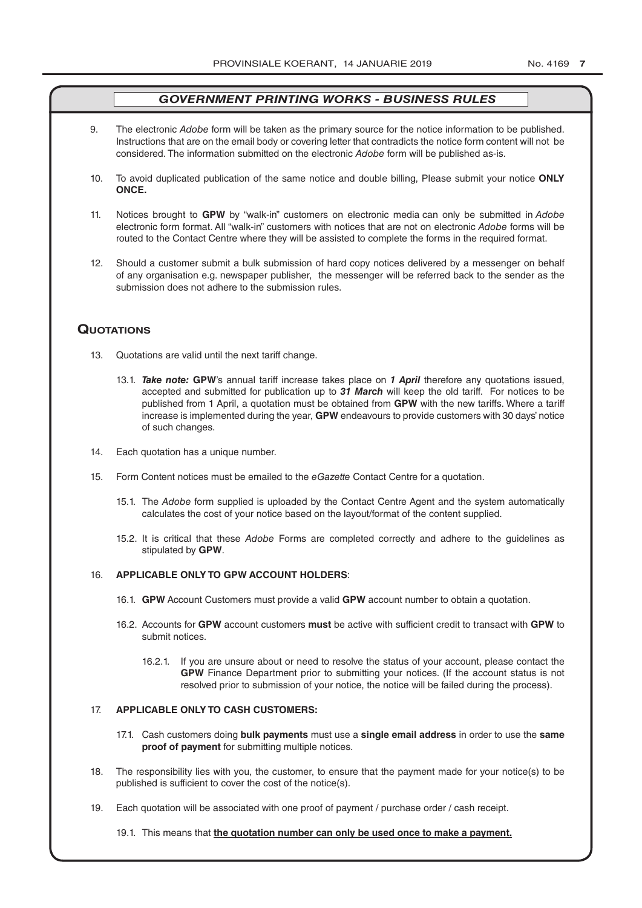- 9. The electronic *Adobe* form will be taken as the primary source for the notice information to be published. Instructions that are on the email body or covering letter that contradicts the notice form content will not be considered. The information submitted on the electronic *Adobe* form will be published as-is.
- 10. To avoid duplicated publication of the same notice and double billing, Please submit your notice **ONLY ONCE.**
- 11. Notices brought to **GPW** by "walk-in" customers on electronic media can only be submitted in *Adobe* electronic form format. All "walk-in" customers with notices that are not on electronic *Adobe* forms will be routed to the Contact Centre where they will be assisted to complete the forms in the required format.
- 12. Should a customer submit a bulk submission of hard copy notices delivered by a messenger on behalf of any organisation e.g. newspaper publisher, the messenger will be referred back to the sender as the submission does not adhere to the submission rules.

#### **QuoTATions**

- 13. Quotations are valid until the next tariff change.
	- 13.1. *Take note:* **GPW**'s annual tariff increase takes place on *1 April* therefore any quotations issued, accepted and submitted for publication up to *31 March* will keep the old tariff. For notices to be published from 1 April, a quotation must be obtained from **GPW** with the new tariffs. Where a tariff increase is implemented during the year, **GPW** endeavours to provide customers with 30 days' notice of such changes.
- 14. Each quotation has a unique number.
- 15. Form Content notices must be emailed to the *eGazette* Contact Centre for a quotation.
	- 15.1. The *Adobe* form supplied is uploaded by the Contact Centre Agent and the system automatically calculates the cost of your notice based on the layout/format of the content supplied.
	- 15.2. It is critical that these *Adobe* Forms are completed correctly and adhere to the guidelines as stipulated by **GPW**.

#### 16. **APPLICABLE ONLY TO GPW ACCOUNT HOLDERS**:

- 16.1. **GPW** Account Customers must provide a valid **GPW** account number to obtain a quotation.
- 16.2. Accounts for **GPW** account customers **must** be active with sufficient credit to transact with **GPW** to submit notices.
	- 16.2.1. If you are unsure about or need to resolve the status of your account, please contact the **GPW** Finance Department prior to submitting your notices. (If the account status is not resolved prior to submission of your notice, the notice will be failed during the process).

#### 17. **APPLICABLE ONLY TO CASH CUSTOMERS:**

- 17.1. Cash customers doing **bulk payments** must use a **single email address** in order to use the **same proof of payment** for submitting multiple notices.
- 18. The responsibility lies with you, the customer, to ensure that the payment made for your notice(s) to be published is sufficient to cover the cost of the notice(s).
- 19. Each quotation will be associated with one proof of payment / purchase order / cash receipt.

19.1. This means that **the quotation number can only be used once to make a payment.**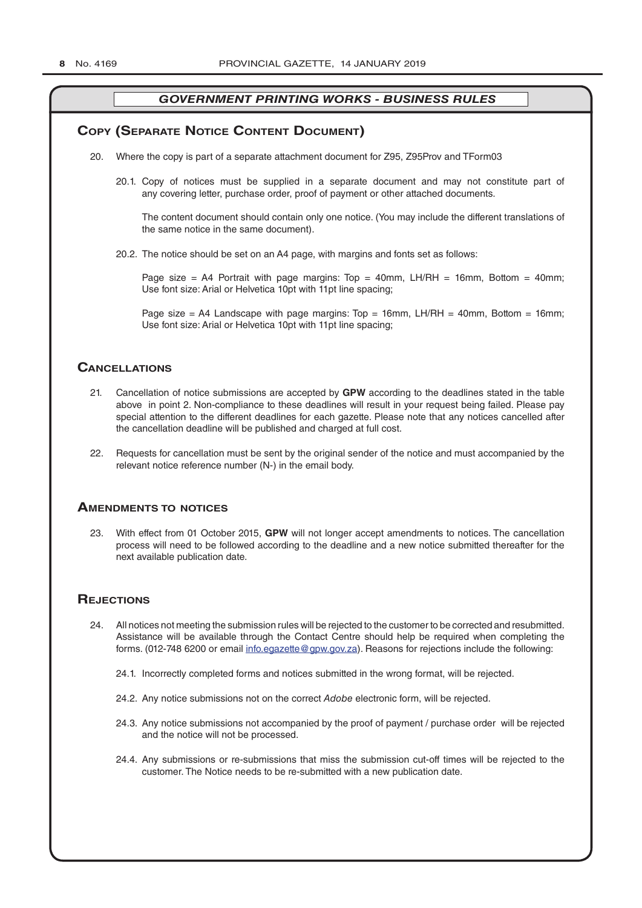#### **COPY (SEPARATE NOTICE CONTENT DOCUMENT)**

- 20. Where the copy is part of a separate attachment document for Z95, Z95Prov and TForm03
	- 20.1. Copy of notices must be supplied in a separate document and may not constitute part of any covering letter, purchase order, proof of payment or other attached documents.

The content document should contain only one notice. (You may include the different translations of the same notice in the same document).

20.2. The notice should be set on an A4 page, with margins and fonts set as follows:

Page size = A4 Portrait with page margins: Top = 40mm, LH/RH = 16mm, Bottom = 40mm; Use font size: Arial or Helvetica 10pt with 11pt line spacing;

Page size = A4 Landscape with page margins:  $Top = 16mm$ , LH/RH = 40mm, Bottom = 16mm; Use font size: Arial or Helvetica 10pt with 11pt line spacing;

#### **CAnCellATions**

- 21. Cancellation of notice submissions are accepted by **GPW** according to the deadlines stated in the table above in point 2. Non-compliance to these deadlines will result in your request being failed. Please pay special attention to the different deadlines for each gazette. Please note that any notices cancelled after the cancellation deadline will be published and charged at full cost.
- 22. Requests for cancellation must be sent by the original sender of the notice and must accompanied by the relevant notice reference number (N-) in the email body.

#### **AmendmenTs To noTiCes**

23. With effect from 01 October 2015, **GPW** will not longer accept amendments to notices. The cancellation process will need to be followed according to the deadline and a new notice submitted thereafter for the next available publication date.

#### **REJECTIONS**

- 24. All notices not meeting the submission rules will be rejected to the customer to be corrected and resubmitted. Assistance will be available through the Contact Centre should help be required when completing the forms. (012-748 6200 or email info.egazette@gpw.gov.za). Reasons for rejections include the following:
	- 24.1. Incorrectly completed forms and notices submitted in the wrong format, will be rejected.
	- 24.2. Any notice submissions not on the correct *Adobe* electronic form, will be rejected.
	- 24.3. Any notice submissions not accompanied by the proof of payment / purchase order will be rejected and the notice will not be processed.
	- 24.4. Any submissions or re-submissions that miss the submission cut-off times will be rejected to the customer. The Notice needs to be re-submitted with a new publication date.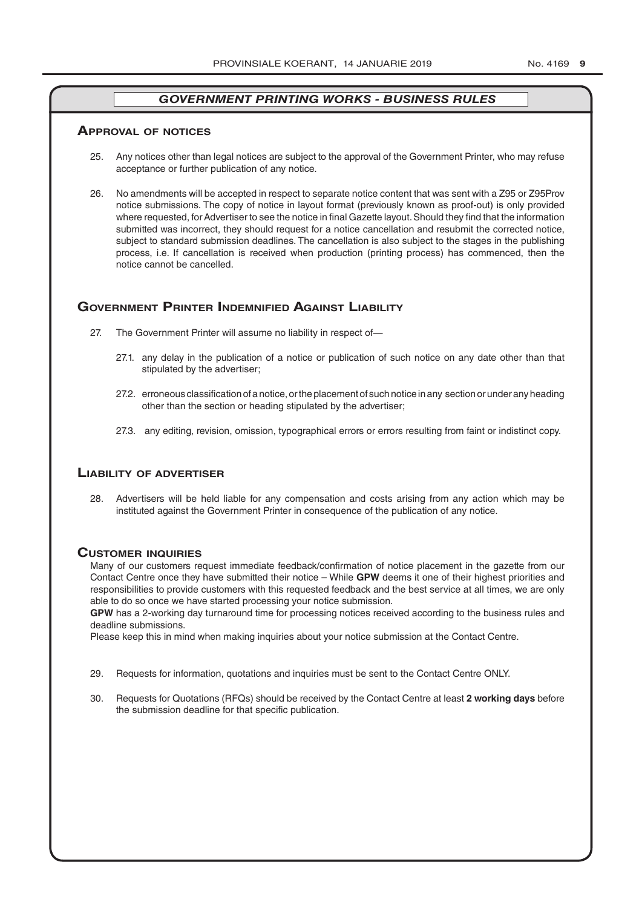#### **ApprovAl of noTiCes**

- 25. Any notices other than legal notices are subject to the approval of the Government Printer, who may refuse acceptance or further publication of any notice.
- 26. No amendments will be accepted in respect to separate notice content that was sent with a Z95 or Z95Prov notice submissions. The copy of notice in layout format (previously known as proof-out) is only provided where requested, for Advertiser to see the notice in final Gazette layout. Should they find that the information submitted was incorrect, they should request for a notice cancellation and resubmit the corrected notice, subject to standard submission deadlines. The cancellation is also subject to the stages in the publishing process, i.e. If cancellation is received when production (printing process) has commenced, then the notice cannot be cancelled.

#### **governmenT prinTer indemnified AgAinsT liAbiliTy**

- 27. The Government Printer will assume no liability in respect of—
	- 27.1. any delay in the publication of a notice or publication of such notice on any date other than that stipulated by the advertiser;
	- 27.2. erroneous classification of a notice, or the placement of such notice in any section or under any heading other than the section or heading stipulated by the advertiser;
	- 27.3. any editing, revision, omission, typographical errors or errors resulting from faint or indistinct copy.

#### **liAbiliTy of AdverTiser**

28. Advertisers will be held liable for any compensation and costs arising from any action which may be instituted against the Government Printer in consequence of the publication of any notice.

#### **CusTomer inQuiries**

Many of our customers request immediate feedback/confirmation of notice placement in the gazette from our Contact Centre once they have submitted their notice – While **GPW** deems it one of their highest priorities and responsibilities to provide customers with this requested feedback and the best service at all times, we are only able to do so once we have started processing your notice submission.

**GPW** has a 2-working day turnaround time for processing notices received according to the business rules and deadline submissions.

Please keep this in mind when making inquiries about your notice submission at the Contact Centre.

- 29. Requests for information, quotations and inquiries must be sent to the Contact Centre ONLY.
- 30. Requests for Quotations (RFQs) should be received by the Contact Centre at least **2 working days** before the submission deadline for that specific publication.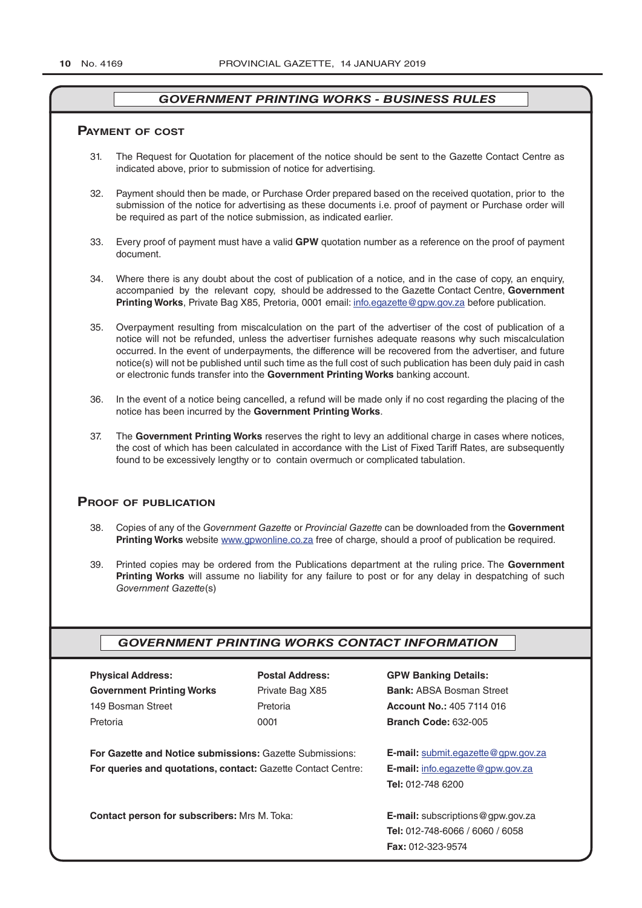#### **pAymenT of CosT**

- 31. The Request for Quotation for placement of the notice should be sent to the Gazette Contact Centre as indicated above, prior to submission of notice for advertising.
- 32. Payment should then be made, or Purchase Order prepared based on the received quotation, prior to the submission of the notice for advertising as these documents i.e. proof of payment or Purchase order will be required as part of the notice submission, as indicated earlier.
- 33. Every proof of payment must have a valid **GPW** quotation number as a reference on the proof of payment document.
- 34. Where there is any doubt about the cost of publication of a notice, and in the case of copy, an enquiry, accompanied by the relevant copy, should be addressed to the Gazette Contact Centre, **Government Printing Works**, Private Bag X85, Pretoria, 0001 email: info.egazette@gpw.gov.za before publication.
- 35. Overpayment resulting from miscalculation on the part of the advertiser of the cost of publication of a notice will not be refunded, unless the advertiser furnishes adequate reasons why such miscalculation occurred. In the event of underpayments, the difference will be recovered from the advertiser, and future notice(s) will not be published until such time as the full cost of such publication has been duly paid in cash or electronic funds transfer into the **Government Printing Works** banking account.
- 36. In the event of a notice being cancelled, a refund will be made only if no cost regarding the placing of the notice has been incurred by the **Government Printing Works**.
- 37. The **Government Printing Works** reserves the right to levy an additional charge in cases where notices, the cost of which has been calculated in accordance with the List of Fixed Tariff Rates, are subsequently found to be excessively lengthy or to contain overmuch or complicated tabulation.

#### **proof of publiCATion**

- 38. Copies of any of the *Government Gazette* or *Provincial Gazette* can be downloaded from the **Government Printing Works** website www.gpwonline.co.za free of charge, should a proof of publication be required.
- 39. Printed copies may be ordered from the Publications department at the ruling price. The **Government Printing Works** will assume no liability for any failure to post or for any delay in despatching of such *Government Gazette*(s)

#### *GOVERNMENT PRINTING WORKS CONTACT INFORMATION*

| <b>Prival Address:</b>           |
|----------------------------------|
| <b>Government Printing Works</b> |
| 149 Bosman Street                |
| Pretoria                         |
|                                  |

**For Gazette and Notice submissions:** Gazette Submissions: **E-mail:** submit.egazette@gpw.gov.za **For queries and quotations, contact:** Gazette Contact Centre: **E-mail:** info.egazette@gpw.gov.za

**Contact person for subscribers:** Mrs M. Toka: **E-mail:** subscriptions@gpw.gov.za

**Physical Address: Postal Address: GPW Banking Details:**

Private Bag X85 **Bank:** ABSA Bosman Street 149 Bosman Street Pretoria **Account No.:** 405 7114 016 Pretoria 0001 **Branch Code:** 632-005

**Tel:** 012-748 6200

**Tel:** 012-748-6066 / 6060 / 6058 **Fax:** 012-323-9574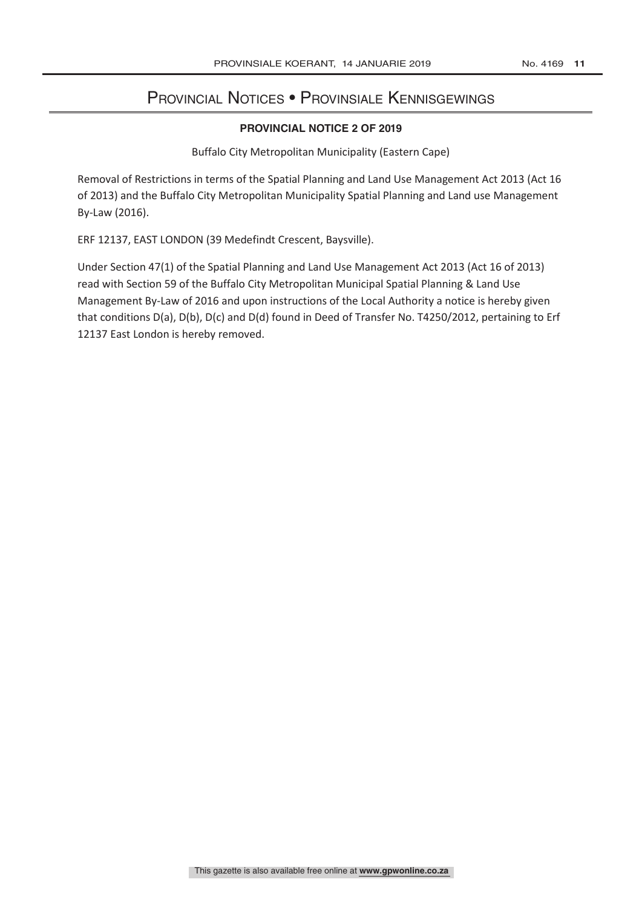# Provincial Notices • Provinsiale Kennisgewings

# **PROVINCIAL NOTICE 2 OF 2019**

Buffalo City Metropolitan Municipality (Eastern Cape)

Removal of Restrictions in terms of the Spatial Planning and Land Use Management Act 2013 (Act 16 of 2013) and the Buffalo City Metropolitan Municipality Spatial Planning and Land use Management By-Law (2016).

ERF 12137, EAST LONDON (39 Medefindt Crescent, Baysville).

Under Section 47(1) of the Spatial Planning and Land Use Management Act 2013 (Act 16 of 2013) read with Section 59 of the Buffalo City Metropolitan Municipal Spatial Planning & Land Use Management By-Law of 2016 and upon instructions of the Local Authority a notice is hereby given that conditions D(a), D(b), D(c) and D(d) found in Deed of Transfer No. T4250/2012, pertaining to Erf 12137 East London is hereby removed.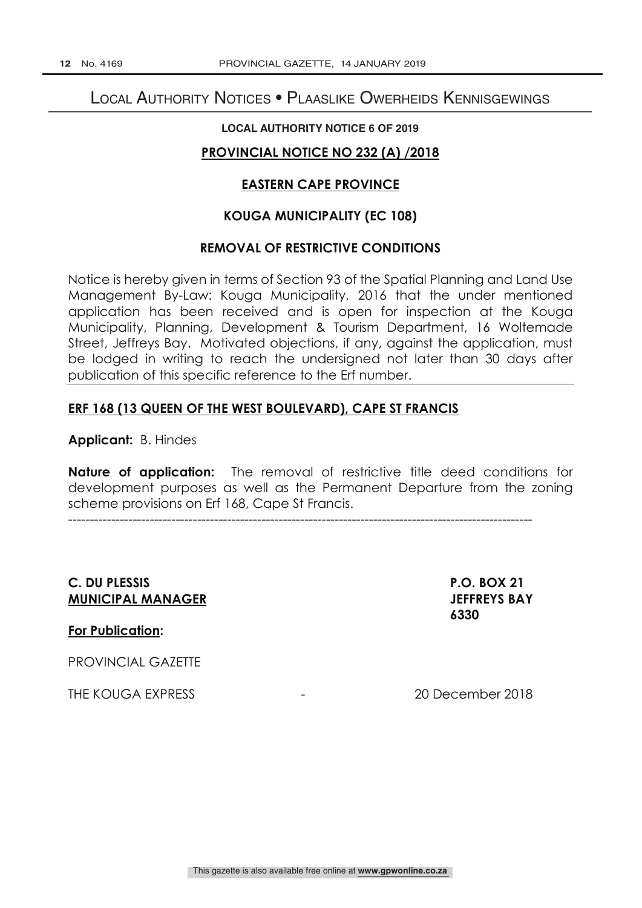# Local Authority Notices • Plaaslike Owerheids Kennisgewings

#### **LOCAL AUTHORITY NOTICE 6 OF 2019**

# **PROVINCIAL NOTICE NO 232 (A) /2018**

# **EASTERN CAPE PROVINCE**

# **KOUGA MUNICIPALITY (EC 108)**

# **REMOVAL OF RESTRICTIVE CONDITIONS**

Notice is hereby given in terms of Section 93 of the Spatial Planning and Land Use Management By-Law: Kouga Municipality, 2016 that the under mentioned application has been received and is open for inspection at the Kouga Municipality, Planning, Development & Tourism Department, 16 Woltemade Street, Jeffreys Bay. Motivated objections, if any, against the application, must be lodged in writing to reach the undersigned not later than 30 days after publication of this specific reference to the Erf number.

# **ERF 168 (13 QUEEN OF THE WEST BOULEVARD), CAPE ST FRANCIS**

**Applicant:** B. Hindes

**Nature of application:** The removal of restrictive title deed conditions for development purposes as well as the Permanent Departure from the zoning scheme provisions on Erf 168, Cape St Francis.

------------------------------------------------------------------------------------------------------------

**C. DU PLESSIS P.O. BOX 21 MUNICIPAL MANAGER JEFFREYS BAY**

**For Publication:** 

PROVINCIAL GAZETTE

THE KOUGA EXPRESS THE ROUGH EXPRESS THE KOUGA EXPRESS

 **6330**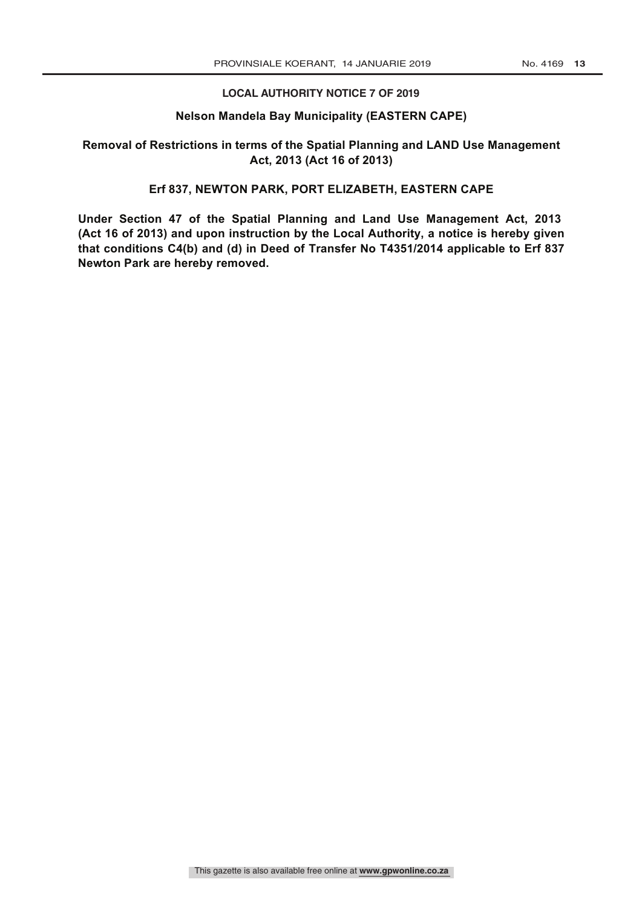#### **LOCAL AUTHORITY NOTICE 7 OF 2019**

#### **Nelson Mandela Bay Municipality (EASTERN CAPE)**

# **Removal of Restrictions in terms of the Spatial Planning and LAND Use Management Act, 2013 (Act 16 of 2013)**

### **Erf 837, NEWTON PARK, PORT ELIZABETH, EASTERN CAPE**

**Under Section 47 of the Spatial Planning and Land Use Management Act, 2013 (Act 16 of 2013) and upon instruction by the Local Authority, a notice is hereby given that conditions C4(b) and (d) in Deed of Transfer No T4351/2014 applicable to Erf 837 Newton Park are hereby removed.**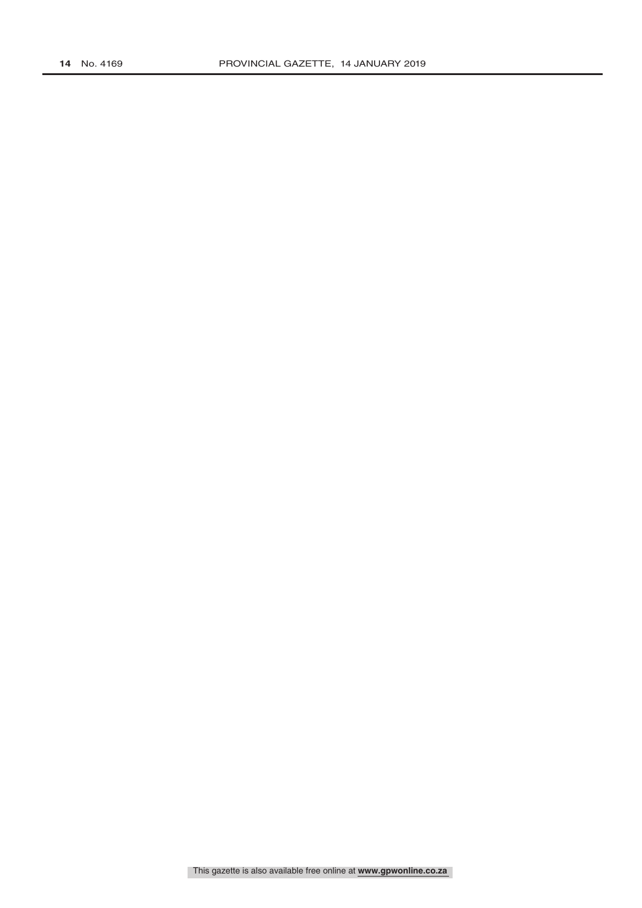This gazette is also available free online at **www.gpwonline.co.za**